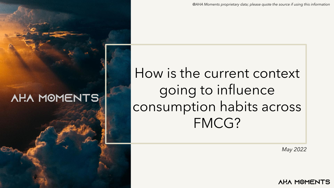*May 2022*

**AHA MOMENTS** 

# How is the current context going to influence consumption habits across FMCG?

*@AHA Moments proprietary data; please quote the source if using this information*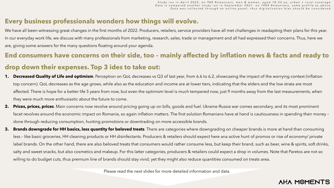#### **Every business professionals wonders how things will evolve.**

We have all been witnessing great changes in the first months of 2022. Producers, retailers, service providers have all met challenges in readapting their plans for this year. In our everyday work life, we discuss with many professionals from marketing, research, sales, trade or management and all had expressed their concerns. Thus, here we are, giving some answers for the many questions floating around your agenda.

### **End consumers have concerns on their side, too – mainly affected by inflation news & facts and ready to drop down their expenses. Top 3 ides to take out:**

- **1.** Decreased Quality of Life and optimism. Perception on QoL decreases vs Q3 of last year, from 6.6 to 6.2, showcasing the impact of the worrying context (inflation top concern). QoL decreases as the age grows, while also as the education and income are at lower tiers, indicating that the elders and the low strata are most affected. There is hope for a better life 5 years from now, but even the optimism level is much tempered now, just 9 months away from the last measurements, when they were much more enthusiastic about the future to come.
- **2. Prices, prices, prices**. Main concerns now revolve around pricing going up on bills, goods and fuel. Ukraine-Russia war comes secondary, and its most prominent facet revolves around the economic impact on Romania, so again inflation matters. The first solution Romanians have at hand is cautiousness in spending their money – done through reducing consumption, hunting promotions or downtrading on more accessible brands.
- **3. Brands downgrade for HH basics, less quantity for beloved treats**. There are categories where downgrading on cheaper brands is more at hand than consuming less – like basic groceries, HH cleaning products or HH disinfectants. Producers & retailers should expect here ana active hunt of promos or rise of economy/ private label brands. On the other hand, there are also beloved treats that consumers would rather consume less, but keep their brand, such as beer, wine & spirits, soft drinks, salty and sweet snacks, but also cosmetics and makeup. For this latter categories, producers & retailers could expect a drop in volumes. Note that Paretos are not so willing to do budget cuts, thus premium line of brands should stay vivid; yet they might also reduce quantities consumed on treats area.

*S t u d y r u n i n A p r i l 2 0 2 2 , o n 9 0 0 R o m a n i a n s , m e n & w o m e n , a g e d 1 8 - 55 y o , u r b a n + r u r a l c o v e r a g e . Data is compared another study run in September 2021, on 1000 Romanians, same profile as above.* Data was collected through an online panel; thus digitalisation bias should be considered.

#### **AHA MOMENTS**

Please read the next slides for more detailed information and data.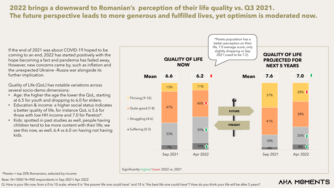Base: N=1000/ N=900 respondents in Sep 2021/ Apr 2022

Q: How is your life now, from a 0 to 10 scale, where 0 is "the poorer life one could have" and 10 is "the best life one could have"? How do you think your life will be after 5 years?

### **AHA MOMENTS**

### **2022 brings a downward to Romanian's perception of their life quality vs. Q3 2021. The future perspective leads to more generous and fulfilled lives, yet optimism is moderated now.**

If the end of 2021 was about COVID-19 hoped to be coming to an end, 2022 has started positively with the hope becoming a fact and pandemia has faded away, However, new concerns came by, such as inflation and the unexpected Ukraine –Russia war alongside its further implication.

Quality of Life (QoL) has notable variations across several socio-demo dimensions:

- Age: the higher the age the lower the QoL, starting at 6.5 for youth and dropping to 6.0 for elders.
- Education & income: a higher social status indicates a better quality of life, for instance QoL is 5.6 for those with low HH income and 7.0 for Paretos\*.
- Kids: spotted in past studies as well, people having children tend to be more content with their life; we see this now, as well, 6.4 vs 6.0 on having not having kids.



\*Pareto = top 20% Romanians, selected by income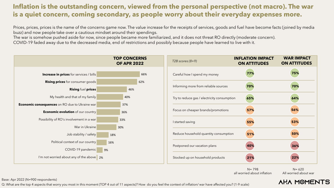Q: What are the top 4 aspects that worry you most in this moment (TOP 4 out of 11 aspects)? How do you feel the context of inflation/ war have affected you? (1-9 scale)

#### Base: Apr 2022 (N=900 respondents)

N= 620 All worried about war

### **AHA MOMENTS**

|                    | <b>INFLATION IMPACT</b><br><b>ON ATTITUDES</b> | <b>WAR IMPACT</b><br><b>ON ATTITUDES</b> |
|--------------------|------------------------------------------------|------------------------------------------|
| money              | 77%                                            | 75%                                      |
| iable sources      | 70%                                            | 70%                                      |
| ricity consumption | 65%                                            | 64%                                      |
| s/promotions       | 57%                                            | 56%                                      |
|                    | 55%                                            | 53%                                      |
| tity consumption   | 51%                                            | 50%                                      |
| plans              | 40%                                            | 36%                                      |
| d products         | 21%                                            | 22%                                      |

N= 798 all worried about inflation

### **Inflation is the outstanding concern, viewed from the personal perspective (not macro). The war is a quiet concern, coming secondary, as people worry about their everyday expenses more.**



Prices, prices, prices is the name of the concerns game now. The value increase for the receipts of services, goods and fuel have become facts (joined by media buzz) and now people take over a cautious mindset around their spendings.

The war is somehow pushed aside for now, since people became more familiarized, and it does not threat RO directly (moderate concern). COVID-19 faded away due to the decreased media, end of restrictions and possibly because people have learned to live with it.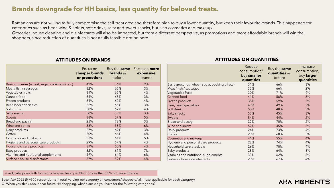|                                                 | Focus on<br>cheaper brands | Buy the <b>same</b><br><b>brands</b> as | Focus on <b>more</b><br>expensive |
|-------------------------------------------------|----------------------------|-----------------------------------------|-----------------------------------|
|                                                 | or promotions              | before                                  | <b>brands</b>                     |
| Basic groceries (wheat, sugar, cooking oil etc) | 42%                        | 56%                                     | 2%                                |
| Meat / fish / sausages                          | 32%                        | 65%                                     | 3%                                |
| Vegetables fruits                               | 31%                        | 65%                                     | 4%                                |
| Canned food                                     | 34%                        | 63%                                     | 3%                                |
| Frozen products                                 | 34%                        | 62%                                     | 4%                                |
| Beer, beer specialties                          | 32%                        | 65%                                     | 3%                                |
| Soft drinks                                     | 30%                        | 67%                                     | 4%                                |
| Salty snacks                                    | 38%                        | 59%                                     | 3%                                |
| <b>Sweets</b>                                   | 38%                        | 57%                                     | 5%                                |
| Bread and pastry                                | 25%                        | 72%                                     | 3%                                |
| Wine and spirits                                | 36%                        | 58%                                     | 6%                                |
| Dairy products                                  | 27%                        | 69%                                     | 3%                                |
| Coffee                                          | 30%                        | 66%                                     | 4%                                |
| Cosmetics and makeup                            | 33%                        | 61%                                     | 5%                                |
| Hygiene and personal care products              | 29%                        | 67%                                     | 4%                                |
| Household care products                         | 37%                        | 60%                                     | 4%                                |
| <b>Baby products</b>                            | 32%                        | 61%                                     | 7%                                |
| Vitamins and nutritional supplements            | 29%                        | 64%                                     | 6%                                |
| Surface / house disinfectants                   | 37%                        | 59%                                     | 4%                                |

|                                                 | Reduce<br>consumption/<br>buy smaller<br>quantities | Buy the same<br>quantities as<br>before | Increase<br>consumption,<br>buy larger<br>quantities |
|-------------------------------------------------|-----------------------------------------------------|-----------------------------------------|------------------------------------------------------|
| Basic groceries (wheat, sugar, cooking oil etc) | 31%                                                 | 66%                                     | 3%                                                   |
| Meat / fish / sausages                          | 32%                                                 | 66%                                     | 2%                                                   |
| Vegetables fruits                               | 20%                                                 | 71%                                     | 9%                                                   |
| <b>Canned food</b>                              | 41%                                                 | 56%                                     | 3%                                                   |
| Frozen products                                 | 38%                                                 | 59%                                     | 3%                                                   |
| Beer, beer specialties                          | 49%                                                 | 49%                                     | 2%                                                   |
| Soft drink                                      | 50%                                                 | 48%                                     | 3%                                                   |
| Salty snacks                                    | 53%                                                 | 45%                                     | 3%                                                   |
| <b>Sweets</b>                                   | 54%                                                 | 44%                                     | 2%                                                   |
| Bread and pastry                                | 27%                                                 | 70%                                     | 2%                                                   |
| Wine and spirits                                | 52%                                                 | 45%                                     | 3%                                                   |
| Dairy products                                  | 24%                                                 | 73%                                     | 4%                                                   |
| Coffee                                          | 29%                                                 | 68%                                     | 3%                                                   |
| <b>Cosmetics and makeup</b>                     | 41%                                                 | 55%                                     | 4%                                                   |
| Hygiene and personal care products              | 22%                                                 | 74%                                     | 4%                                                   |
| Household care products                         | 26%                                                 | 70%                                     | 4%                                                   |
| <b>Baby products</b>                            | 28%                                                 | 64%                                     | 8%                                                   |
| Vitamins and nutritional supplements            | 33%                                                 | 62%                                     | 5%                                                   |
| Surface / house disinfectants                   | 29%                                                 | 67%                                     | 4%                                                   |

#### **AHA MOMENTS**

#### **ATTITUDES ON BRANDS ATTITUDES ON QUANTITIES**

Q: When you think about near future HH shopping, what plans do you have for the following categories? Base: Apr 2022 (N=900 respondents in total, varying per category on consumers/ shoppers/ all those applicable for each category)

#### **Brands downgrade for HH basics, less quantity for beloved treats.**

Romanians are not willing to fully compromise the self-treat area and therefore plan to buy a lower quantity, but keep their favourite brands. This happened for categories such as beer, wine & spirits, soft drinks, salty and sweet snacks, but also cosmetics and makeup. Groceries, house cleaning and disinfectants will also be impacted, but from a different perspective, as promotions and more affordable brands will win the shoppers, since reduction of quantities is not a fully feasible option here.

In red, categories with focus on cheaper/ less quantity for more than 35% of their audience.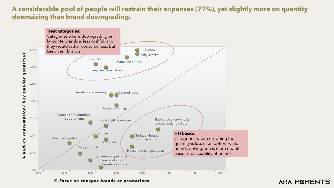#### **A considerable pool of people will restrain their expenses (77%), yet slightly more on quantity downsizing than brand downgrading.**

*% Fo c u s o n c h e a p e r b ra n d s o r p ro m o t i o n s*



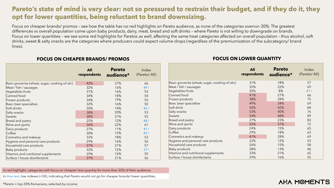|                                                 | <b>All</b><br>respondents | <b>Pareto</b><br>audience* | Index<br>(Pareto/All) |                                                 | <b>All</b><br>respondents | <b>Pareto</b><br>audience* | Index<br>(Pareto/All) |
|-------------------------------------------------|---------------------------|----------------------------|-----------------------|-------------------------------------------------|---------------------------|----------------------------|-----------------------|
| Basic groceries (wheat, sugar, cooking oil etc) | 42%                       | 27%                        | 66                    | Basic groceries (wheat, sugar, cooking oil etc) | 31%                       | 18%                        | 57                    |
| Meat / fish / sausages                          | 32%                       | 16%                        | 49!                   | Meat / fish / sausages                          | 32%                       | 22%                        | 69                    |
| Vegetables fruits                               | 31%                       | 16%                        | 53                    | Vegetables fruits                               | 20%                       | 8%                         | 41!                   |
| Canned food                                     | 34%                       | 18%                        | 54                    | Canned food                                     | 41%                       | 27%                        | 66                    |
| Frozen products                                 | 34%                       | 19%                        | 56                    | Frozen products                                 | 38%                       | 28%                        | 75                    |
| Beer, beer specialties                          | 32%                       | 16%                        | 50                    | Beer, beer specialties                          | 49%                       | 34%                        | 69                    |
| Soft drinks                                     | 30%                       | 14%                        | 46 !                  | Soft drink                                      | 50%                       | 42%                        | 84                    |
| Salty snacks                                    | 38%                       | 20%                        | 53                    | Salty snacks                                    | 53%                       | 40%                        | 76                    |
| Sweets                                          | 38%                       | 21%                        | 55                    | <b>Sweets</b>                                   | 54%                       | 48%                        | 89                    |
| Bread and pastry                                | 25%                       | 12%                        | 48 !                  | Bread and pastry                                | 27%                       | 23%                        | 83                    |
| Wine and spirits                                | 36%                       | 22%                        | 61                    | Wine and spirits                                | 52%                       | 37%                        | 72                    |
| Dairy products                                  | 27%                       | 11%                        | 41!                   | Dairy products                                  | 24%                       | 15%                        | 65                    |
| Coffee                                          | 30%                       | 12%                        | 42!                   | Coffee                                          | 29%                       | 18%                        | 63                    |
| Cosmetics and makeup                            | 33%                       | 18%                        | 53                    | Cosmetics and makeup                            | 41%                       | 28%                        | 69                    |
| Hygiene and personal care products              | 29%                       | 16%                        | 55                    | Hygiene and personal care products              | 22%                       | 12%                        | 53                    |
| Household care products                         | 37%                       | 21%                        | 57                    | Household care products                         | 26%                       | 15%                        | 58                    |
| Baby products                                   | 32%                       | 12%                        | 37!                   | Baby products                                   | 28%                       | 13%                        | 46                    |
| Vitamins and nutritional supplements            | 29%                       | 16%                        | 55                    | Vitamins and nutritional supplements            | 33%                       | 21%                        | 65                    |
| Surface / house disinfectants                   | 37%                       | 21%                        | 56                    | Surface / house disinfectants                   | 29%                       | 16%                        | 55                    |

#### **FOCUS ON CHEAPER BRANDS/ PROMOS FOCUS ON LOWER QUANTITY**

### **Pareto's state of mind is very clear: not so pressured to restrain their budget, and if they do it, they opt for lower quantities, being reluctant to brand downsizing.**

Focus on cheaper brands/ promos – see how the table has no red highlights on Pareto audience, as none of the categories overrun 30%. The greatest differences vs overall population come upon baby products, dairy, meat, bread and soft drinks – where Pareto is not willing to downgrade on brands. Focus on lower quantities – we see some red highlights for Paretos as well, affecting the same treat categories affected on overall population – thus alcohol, soft drinks, sweet & salty snacks are the categories where producers could expect volume drops (regardless of the premiumization of the subcategory/ brand lines).

In red highlight, categories with focus on cheaper/ less quantity for more than 35% of their audience.

In blue text, low indexes (<50), indicating that Pareto would not go for cheaper brands/ lower quantities.

\*Pareto = top 20% Romanians, selected by income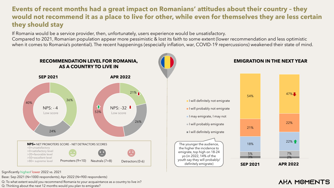Q: To what extent would you recommend Romania to your acquaintance as a country to live in?

Q: Thinking about the next 12 months would you plan to emigrate?

Base: Sep 2021 (N=1000 respondents); Apr 2022 (N=900 respondents)

Significantly higher/ lower 2022 vs. 2021

### **Events of recent months had a great impact on Romanians' attitudes about their country – they would not recommend it as a place to live for other, while even for themselves they are less certain they should stay**



If Romania would be a service provider, then, unfortunately, users experience would be unsatisfactory. Compared to 2021, Romanian population appear more pessimistic & lost its faith to some extent (lower recommendation and less optimistic when it comes to Romania's potential). The recent happenings (especially inflation, war, COVID-19 repercussions) weakened their state of mind.

## 3% 2% 5% 7% 18% 22% <del>1</del> 21% 22% 54% 47% Jan-00 Jan-00 **SEP 2021 APR 2022**

#### **EMIGRATION IN THE NEXT YEAR**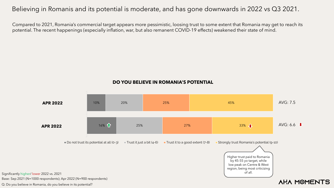#### **DO YOU BELIEVE IN ROMANIA'S POTENTIAL**

#### Believing in Romanis and its potential is moderate, and has gone downwards in 2022 vs Q3 2021.

Q: Do you believe in Romania, do you believe in its potential? Base: Sep 2021 (N=1000 respondents); Apr 2022 (N=900 respondents) Significantly higher/ lower 2022 vs. 2021



Compared to 2021, Romania's commercial target appears more pessimistic, loosing trust to some extent that Romania may get to reach its potential. The recent happenings (especially inflation, war, but also remanent COVID-19 effects) weakened their state of mind.